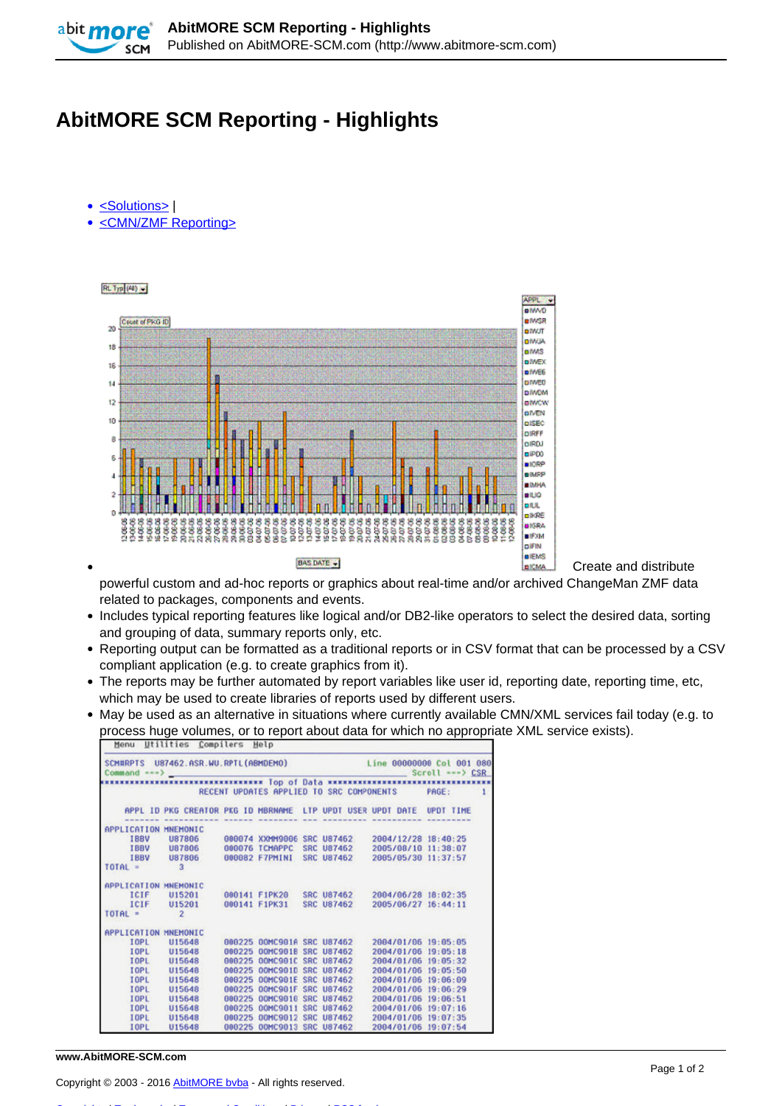

## **AbitMORE SCM Reporting - Highlights**

- [<Solutions>](http://www.abitmore-scm.com/taxonomy/term/34) |
- [<CMN/ZMF Reporting>](http://www.abitmore-scm.com/taxonomy/term/12)



Create and distribute

powerful custom and ad-hoc reports or graphics about real-time and/or archived ChangeMan ZMF data related to packages, components and events.

- Includes typical reporting features like logical and/or DB2-like operators to select the desired data, sorting and grouping of data, summary reports only, etc.
- Reporting output can be formatted as a traditional reports or in CSV format that can be processed by a CSV compliant application (e.g. to create graphics from it).
- The reports may be further automated by report variables like user id, reporting date, reporting time, etc, which may be used to create libraries of reports used by different users.
- May be used as an alternative in situations where currently available CMN/XML services fail today (e.g. to process huge volumes, or to report about data for which no appropriate XML service exists).

| Common < <                                     |                                                                      |        |                            |  |                            |  |  |                     |              |
|------------------------------------------------|----------------------------------------------------------------------|--------|----------------------------|--|----------------------------|--|--|---------------------|--------------|
| RECENT UPDATES APPLIED TO SRC COMPONENTS PAGE: |                                                                      |        |                            |  |                            |  |  |                     | $\mathbf{1}$ |
|                                                | APPL ID PKG CREATOR PKG ID MBRNAME LIP UPDT USER UPDT DATE UPDT TIME |        |                            |  |                            |  |  |                     |              |
|                                                | ------------------------                                             |        | ------- -------            |  | ----------                 |  |  |                     |              |
| APPLICATION MNEMONIC                           |                                                                      |        |                            |  |                            |  |  |                     |              |
| <b>IBBV</b>                                    | <b>U87806</b>                                                        |        |                            |  | 000074 XXMM9006 SRC U87462 |  |  | 2004/12/28 18:40:25 |              |
|                                                | IBBV U87806                                                          |        | 000076 TCMAPPC             |  | <b>SRC U87462</b>          |  |  | 2005/08/10 11:38:07 |              |
|                                                | IBBV U87806                                                          |        | 000082 F7PMINI             |  | <b>SRC U87462</b>          |  |  | 2005/05/30 11:37:57 |              |
| $TOTAL =$                                      | $\overline{\mathbf{3}}$                                              |        |                            |  |                            |  |  |                     |              |
| APPLICATION MNEMONIC                           |                                                                      |        |                            |  |                            |  |  |                     |              |
| <b>ICIF</b>                                    | U15201                                                               |        |                            |  | 000141 F1PK20 SRC U87462   |  |  | 2004/06/28 18:02:35 |              |
|                                                | ICIF U15201                                                          |        | 000141 F1PK31              |  | <b>SRC U87462</b>          |  |  | 2005/06/27 16:44:11 |              |
| TOTAL =                                        | $\overline{2}$                                                       |        |                            |  |                            |  |  |                     |              |
| APPLICATION MNEMONIC                           |                                                                      |        |                            |  |                            |  |  |                     |              |
| <b>TOPL</b>                                    | U15648                                                               |        | 000225 00MC901A SRC U87462 |  |                            |  |  | 2004/01/06 19:05:05 |              |
| <b>IOPL</b>                                    | U15648                                                               |        | 000225 00MC901B SRC U87462 |  |                            |  |  | 2004/01/06 19:05:18 |              |
| <b>TOPL</b>                                    | U15648                                                               |        | 000225 00MC901C SRC U87462 |  |                            |  |  | 2004/01/06 19:05:32 |              |
| <b>TOPL</b>                                    | U15648                                                               |        | 000225 00MC901D SRC U87462 |  |                            |  |  | 2004/01/06 19:05:50 |              |
| <b>TOPL</b>                                    | U15648                                                               |        | 000225 00MC901E SRC U87462 |  |                            |  |  | 2004/01/06 19:06:09 |              |
| <b>TOPL</b>                                    | U15648                                                               |        | 000225 00MC901F SRC U87462 |  |                            |  |  | 2004/01/06 19:06:29 |              |
| <b>TOPL</b>                                    | U15648                                                               |        | 000225 00MC9016 SRC U87462 |  |                            |  |  | 2004/01/06 19:06:51 |              |
| <b>TOPL</b>                                    | U15648                                                               | 000225 | 00MC9011                   |  | <b>SRC U87462</b>          |  |  | 2004/01/06 19:07:16 |              |
| <b>TOPL</b>                                    | U15648                                                               |        | 000225 00MC9012 SRC U87462 |  |                            |  |  | 2004/01/06 19:07:35 |              |
| <b>IOPL</b>                                    | U15648                                                               |        | 000225 00MC9013 SRC U87462 |  |                            |  |  | 2004/01/06 19:07:54 |              |

## **www.AbitMORE-SCM.com**

Copyright © 2003 - 2016 [AbitMORE bvba](http://www.abitmore.be) - All rights reserved.

[Copyrights](http://www.abitmore-scm.com/legal/copyrights) | [Trademarks](http://www.abitmore-scm.com/legal/trademarks) | [Terms and Conditions](http://www.abitmore-scm.com/legal/terms) | [Privacy](http://www.abitmore-scm.com/legal/privacy) | [RSS feeds](http://www.abitmore-scm.com/rss.xml)